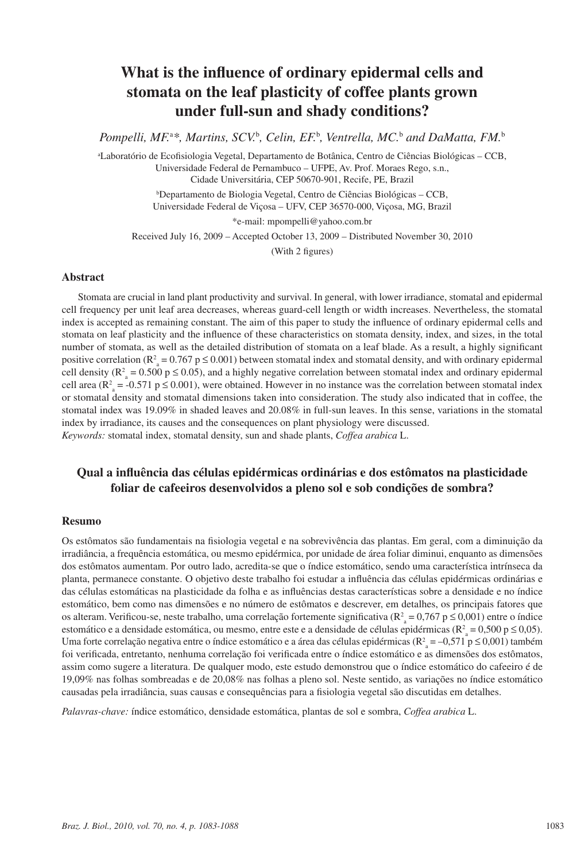# **What is the influence of ordinary epidermal cells and stomata on the leaf plasticity of coffee plants grown under full-sun and shady conditions?**

Pompelli, MF.<sup>a\*</sup>, Martins, SCV.<sup>b</sup>, Celin, EF.<sup>b</sup>, Ventrella, MC.<sup>b</sup> and DaMatta, FM.<sup>b</sup>

a Laboratório de Ecofisiologia Vegetal, Departamento de Botânica, Centro de Ciências Biológicas – CCB, Universidade Federal de Pernambuco – UFPE, Av. Prof. Moraes Rego, s.n., Cidade Universitária, CEP 50670-901, Recife, PE, Brazil

b Departamento de Biologia Vegetal, Centro de Ciências Biológicas – CCB, Universidade Federal de Viçosa – UFV, CEP 36570-000, Viçosa, MG, Brazil

\*e-mail: mpompelli@yahoo.com.br

Received July 16, 2009 – Accepted October 13, 2009 – Distributed November 30, 2010

(With 2 figures)

## **Abstract**

Stomata are crucial in land plant productivity and survival. In general, with lower irradiance, stomatal and epidermal cell frequency per unit leaf area decreases, whereas guard-cell length or width increases. Nevertheless, the stomatal index is accepted as remaining constant. The aim of this paper to study the influence of ordinary epidermal cells and stomata on leaf plasticity and the influence of these characteristics on stomata density, index, and sizes, in the total number of stomata, as well as the detailed distribution of stomata on a leaf blade. As a result, a highly significant positive correlation ( $R^2$ <sub>a</sub> = 0.767 p  $\leq$  0.001) between stomatal index and stomatal density, and with ordinary epidermal cell density ( $\mathbb{R}^2$  = 0.500 p  $\leq$  0.05), and a highly negative correlation between stomatal index and ordinary epidermal cell area ( $\mathbb{R}^2$  = -0.571 p  $\leq$  0.001), were obtained. However in no instance was the correlation between stomatal index or stomatal density and stomatal dimensions taken into consideration. The study also indicated that in coffee, the stomatal index was 19.09% in shaded leaves and 20.08% in full-sun leaves. In this sense, variations in the stomatal index by irradiance, its causes and the consequences on plant physiology were discussed. *Keywords:* stomatal index, stomatal density, sun and shade plants, *Coffea arabica* L.

## **Qual a influência das células epidérmicas ordinárias e dos estômatos na plasticidade foliar de cafeeiros desenvolvidos a pleno sol e sob condições de sombra?**

#### **Resumo**

Os estômatos são fundamentais na fisiologia vegetal e na sobrevivência das plantas. Em geral, com a diminuição da irradiância, a frequência estomática, ou mesmo epidérmica, por unidade de área foliar diminui, enquanto as dimensões dos estômatos aumentam. Por outro lado, acredita-se que o índice estomático, sendo uma característica intrínseca da planta, permanece constante. O objetivo deste trabalho foi estudar a influência das células epidérmicas ordinárias e das células estomáticas na plasticidade da folha e as influências destas características sobre a densidade e no índice estomático, bem como nas dimensões e no número de estômatos e descrever, em detalhes, os principais fatores que os alteram. Verificou-se, neste trabalho, uma correlação fortemente significativa ( $R_a^2 = 0.767$  p  $\leq 0.001$ ) entre o índice estomático e a densidade estomática, ou mesmo, entre este e a densidade de células epidérmicas ( $R_a^2 = 0,500$  p  $\leq 0,05$ ). Uma forte correlação negativa entre o índice estomático e a área das células epidérmicas ( $R^2$ <sub>a</sub> = -0,571 p ≤ 0,001) também foi verificada, entretanto, nenhuma correlação foi verificada entre o índice estomático e as dimensões dos estômatos, assim como sugere a literatura. De qualquer modo, este estudo demonstrou que o índice estomático do cafeeiro é de 19,09% nas folhas sombreadas e de 20,08% nas folhas a pleno sol. Neste sentido, as variações no índice estomático causadas pela irradiância, suas causas e consequências para a fisiologia vegetal são discutidas em detalhes.

*Palavras-chave:* índice estomático, densidade estomática, plantas de sol e sombra, *Coffea arabica* L.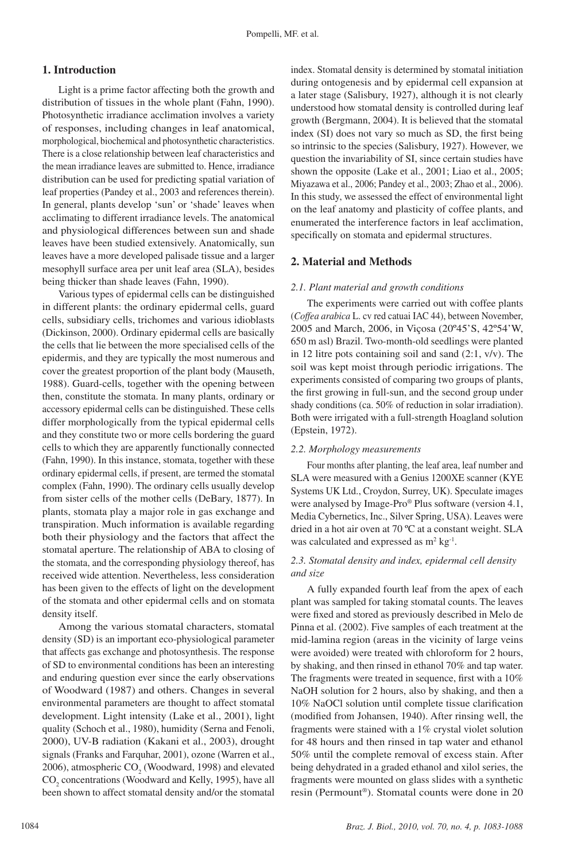#### **1. Introduction**

Light is a prime factor affecting both the growth and distribution of tissues in the whole plant (Fahn, 1990). Photosynthetic irradiance acclimation involves a variety of responses, including changes in leaf anatomical, morphological, biochemical and photosynthetic characteristics. There is a close relationship between leaf characteristics and the mean irradiance leaves are submitted to. Hence, irradiance distribution can be used for predicting spatial variation of leaf properties (Pandey et al., 2003 and references therein). In general, plants develop 'sun' or 'shade' leaves when acclimating to different irradiance levels. The anatomical and physiological differences between sun and shade leaves have been studied extensively. Anatomically, sun leaves have a more developed palisade tissue and a larger mesophyll surface area per unit leaf area (SLA), besides being thicker than shade leaves (Fahn, 1990).

Various types of epidermal cells can be distinguished in different plants: the ordinary epidermal cells, guard cells, subsidiary cells, trichomes and various idioblasts (Dickinson, 2000). Ordinary epidermal cells are basically the cells that lie between the more specialised cells of the epidermis, and they are typically the most numerous and cover the greatest proportion of the plant body (Mauseth, 1988). Guard-cells, together with the opening between then, constitute the stomata. In many plants, ordinary or accessory epidermal cells can be distinguished. These cells differ morphologically from the typical epidermal cells and they constitute two or more cells bordering the guard cells to which they are apparently functionally connected (Fahn, 1990). In this instance, stomata, together with these ordinary epidermal cells, if present, are termed the stomatal complex (Fahn, 1990). The ordinary cells usually develop from sister cells of the mother cells (DeBary, 1877). In plants, stomata play a major role in gas exchange and transpiration. Much information is available regarding both their physiology and the factors that affect the stomatal aperture. The relationship of ABA to closing of the stomata, and the corresponding physiology thereof, has received wide attention. Nevertheless, less consideration has been given to the effects of light on the development of the stomata and other epidermal cells and on stomata density itself.

Among the various stomatal characters, stomatal density (SD) is an important eco-physiological parameter that affects gas exchange and photosynthesis. The response of SD to environmental conditions has been an interesting and enduring question ever since the early observations of Woodward (1987) and others. Changes in several environmental parameters are thought to affect stomatal development. Light intensity (Lake et al., 2001), light quality (Schoch et al., 1980), humidity (Serna and Fenoli, 2000), UV-B radiation (Kakani et al., 2003), drought signals (Franks and Farquhar, 2001), ozone (Warren et al., 2006), atmospheric  $CO_2$  (Woodward, 1998) and elevated CO<sub>2</sub> concentrations (Woodward and Kelly, 1995), have all been shown to affect stomatal density and/or the stomatal

index. Stomatal density is determined by stomatal initiation during ontogenesis and by epidermal cell expansion at a later stage (Salisbury, 1927), although it is not clearly understood how stomatal density is controlled during leaf growth (Bergmann, 2004). It is believed that the stomatal index (SI) does not vary so much as SD, the first being so intrinsic to the species (Salisbury, 1927). However, we question the invariability of SI, since certain studies have shown the opposite (Lake et al., 2001; Liao et al., 2005; Miyazawa et al., 2006; Pandey et al., 2003; Zhao et al., 2006). In this study, we assessed the effect of environmental light on the leaf anatomy and plasticity of coffee plants, and enumerated the interference factors in leaf acclimation, specifically on stomata and epidermal structures.

## **2. Material and Methods**

#### *2.1. Plant material and growth conditions*

The experiments were carried out with coffee plants (*Coffea arabica* L. cv red catuai IAC 44), between November, 2005 and March, 2006, in Viçosa (20º45'S, 42º54'W, 650 m asl) Brazil. Two-month-old seedlings were planted in 12 litre pots containing soil and sand (2:1, v/v). The soil was kept moist through periodic irrigations. The experiments consisted of comparing two groups of plants, the first growing in full-sun, and the second group under shady conditions (ca. 50% of reduction in solar irradiation). Both were irrigated with a full-strength Hoagland solution (Epstein, 1972).

#### *2.2. Morphology measurements*

Four months after planting, the leaf area, leaf number and SLA were measured with a Genius 1200XE scanner (KYE Systems UK Ltd., Croydon, Surrey, UK). Speculate images were analysed by Image-Pro® Plus software (version 4.1, Media Cybernetics, Inc., Silver Spring, USA). Leaves were dried in a hot air oven at 70 ºC at a constant weight. SLA was calculated and expressed as  $m^2$  kg<sup>-1</sup>.

### *2.3. Stomatal density and index, epidermal cell density and size*

A fully expanded fourth leaf from the apex of each plant was sampled for taking stomatal counts. The leaves were fixed and stored as previously described in Melo de Pinna et al. (2002). Five samples of each treatment at the mid-lamina region (areas in the vicinity of large veins were avoided) were treated with chloroform for 2 hours, by shaking, and then rinsed in ethanol 70% and tap water. The fragments were treated in sequence, first with a 10% NaOH solution for 2 hours, also by shaking, and then a 10% NaOCl solution until complete tissue clarification (modified from Johansen, 1940). After rinsing well, the fragments were stained with a 1% crystal violet solution for 48 hours and then rinsed in tap water and ethanol 50% until the complete removal of excess stain. After being dehydrated in a graded ethanol and xilol series, the fragments were mounted on glass slides with a synthetic resin (Permount®). Stomatal counts were done in 20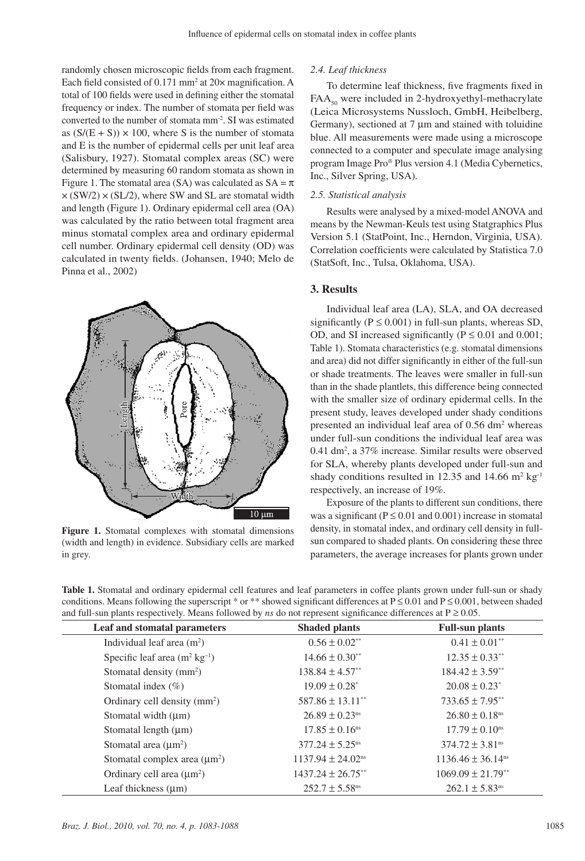randomly chosen microscopic fields from each fragment. Each field consisted of 0.171 mm<sup>2</sup> at 20× magnification. A total of 100 fields were used in defining either the stomatal frequency or index. The number of stomata per field was converted to the number of stomata mm-2. SI was estimated as  $(S/(E + S)) \times 100$ , where S is the number of stomata and E is the number of epidermal cells per unit leaf area (Salisbury, 1927). Stomatal complex areas (SC) were determined by measuring 60 random stomata as shown in Figure 1. The stomatal area (SA) was calculated as  $SA = \pi$  $\times$  (SW/2)  $\times$  (SL/2), where SW and SL are stomatal width and length (Figure 1). Ordinary epidermal cell area (OA) was calculated by the ratio between total fragment area minus stomatal complex area and ordinary epidermal cell number. Ordinary epidermal cell density (OD) was calculated in twenty fields. (Johansen, 1940; Melo de Pinna et al., 2002)



**Figure 1.** Stomatal complexes with stomatal dimensions (width and length) in evidence. Subsidiary cells are marked in grey.

## *2.4. Leaf thickness*

To determine leaf thickness, five fragments fixed in  $FAA<sub>50</sub>$  were included in 2-hydroxyethyl-methacrylate (Leica Microsystems Nussloch, GmbH, Heibelberg, Germany), sectioned at 7 µm and stained with toluidine blue. All measurements were made using a microscope connected to a computer and speculate image analysing program Image Pro® Plus version 4.1 (Media Cybernetics, Inc., Silver Spring, USA).

#### *2.5. Statistical analysis*

Results were analysed by a mixed-model ANOVA and means by the Newman-Keuls test using Statgraphics Plus Version 5.1 (StatPoint, Inc., Herndon, Virginia, USA). Correlation coefficients were calculated by Statistica 7.0 (StatSoft, Inc., Tulsa, Oklahoma, USA).

#### **3. Results**

Individual leaf area (LA), SLA, and OA decreased significantly ( $P \le 0.001$ ) in full-sun plants, whereas SD, OD, and SI increased significantly ( $P \le 0.01$  and  $0.001$ ; Table 1). Stomata characteristics (e.g. stomatal dimensions and area) did not differ significantly in either of the full-sun or shade treatments. The leaves were smaller in full-sun than in the shade plantlets, this difference being connected with the smaller size of ordinary epidermal cells. In the present study, leaves developed under shady conditions presented an individual leaf area of 0.56 dm<sup>2</sup> whereas under full-sun conditions the individual leaf area was 0.41 dm2 , a 37% increase. Similar results were observed for SLA, whereby plants developed under full-sun and shady conditions resulted in 12.35 and 14.66  $m^2$  kg<sup>-1</sup> respectively, an increase of 19%.

Exposure of the plants to different sun conditions, there was a significant ( $P \le 0.01$  and  $0.001$ ) increase in stomatal density, in stomatal index, and ordinary cell density in fullsun compared to shaded plants. On considering these three parameters, the average increases for plants grown under

**Table 1.** Stomatal and ordinary epidermal cell features and leaf parameters in coffee plants grown under full-sun or shady conditions. Means following the superscript \* or \*\* showed significant differences at  $P \le 0.01$  and  $P \le 0.001$ , between shaded and full-sun plants respectively. Means followed by *ns* do not represent significance differences at  $P \ge 0.05$ .

| Leaf and stomatal parameters               | <b>Shaded plants</b>              | <b>Full-sun plants</b>            |
|--------------------------------------------|-----------------------------------|-----------------------------------|
| Individual leaf area $(m2)$                | $0.56 \pm 0.02$ <sup>**</sup>     | $0.41 \pm 0.01$ <sup>**</sup>     |
| Specific leaf area $(m^2 \text{ kg}^{-1})$ | $14.66 \pm 0.30$ <sup>**</sup>    | $12.35 \pm 0.33$ <sup>**</sup>    |
| Stomatal density $(mm2)$                   | $138.84 \pm 4.57$ <sup>**</sup>   | $184.42 \pm 3.59$ <sup>**</sup>   |
| Stomatal index $(\% )$                     | $19.09 \pm 0.28^*$                | $20.08 \pm 0.23$ <sup>*</sup>     |
| Ordinary cell density (mm <sup>2</sup> )   | $587.86 \pm 13.11$ <sup>**</sup>  | $733.65 \pm 7.95$ <sup>**</sup>   |
| Stomatal width $(\mu m)$                   | $26.89 \pm 0.23$ <sup>ns</sup>    | $26.80 \pm 0.18$ <sup>ns</sup>    |
| Stomatal length $(\mu m)$                  | $17.85 \pm 0.16$ <sup>ns</sup>    | $17.79 \pm 0.10$ <sup>ns</sup>    |
| Stomatal area $(\mu m^2)$                  | $377.24 \pm 5.25$ <sup>ns</sup>   | $374.72 \pm 3.81$ <sup>ns</sup>   |
| Stomatal complex area $(\mu m^2)$          | $1137.94 \pm 24.02$ <sup>ns</sup> | $1136.46 \pm 36.14$ <sup>ns</sup> |
| Ordinary cell area $(\mu m^2)$             | $1437.24 \pm 26.75$ **            | $1069.09 \pm 21.79$ **            |
| Leaf thickness $(\mu m)$                   | $252.7 \pm 5.58$ <sup>ns</sup>    | $262.1 \pm 5.83$ <sup>ns</sup>    |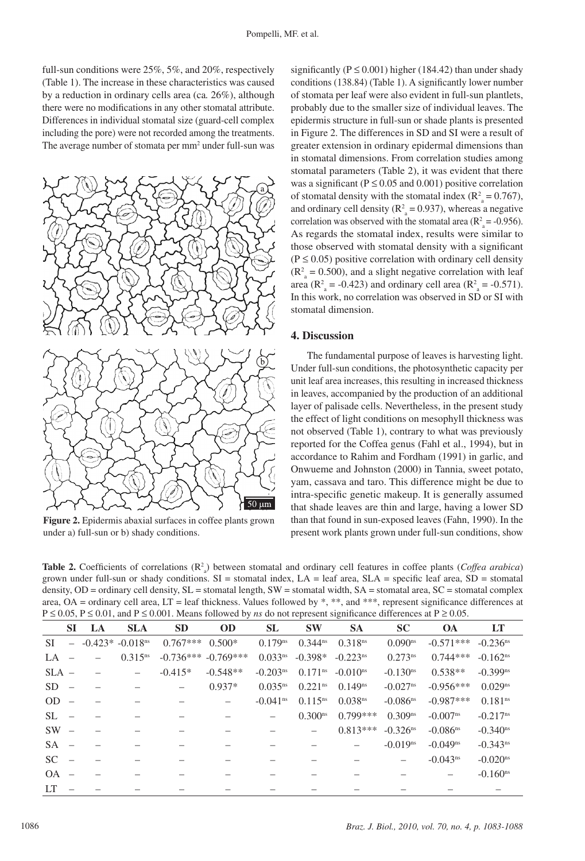full-sun conditions were 25%, 5%, and 20%, respectively (Table 1). The increase in these characteristics was caused by a reduction in ordinary cells area (ca*.* 26%), although there were no modifications in any other stomatal attribute. Differences in individual stomatal size (guard-cell complex including the pore) were not recorded among the treatments. The average number of stomata per mm<sup>2</sup> under full-sun was



**Figure 2.** Epidermis abaxial surfaces in coffee plants grown under a) full-sun or b) shady conditions.

significantly ( $P \le 0.001$ ) higher (184.42) than under shady conditions (138.84) (Table 1). A significantly lower number of stomata per leaf were also evident in full-sun plantlets, probably due to the smaller size of individual leaves. The epidermis structure in full-sun or shade plants is presented in Figure 2. The differences in SD and SI were a result of greater extension in ordinary epidermal dimensions than in stomatal dimensions. From correlation studies among stomatal parameters (Table 2), it was evident that there was a significant ( $P \le 0.05$  and  $0.001$ ) positive correlation of stomatal density with the stomatal index ( $\mathbb{R}^2$ <sup>2</sup> = 0.767), and ordinary cell density ( $\mathbb{R}^2$ <sub>a</sub> = 0.937), whereas a negative correlation was observed with the stomatal area ( $R_a^2$  = -0.956). As regards the stomatal index, results were similar to those observed with stomatal density with a significant  $(P \le 0.05)$  positive correlation with ordinary cell density  $(R<sup>2</sup><sub>a</sub> = 0.500)$ , and a slight negative correlation with leaf area  $(R<sup>2</sup><sub>a</sub> = -0.423)$  and ordinary cell area  $(R<sup>2</sup><sub>a</sub> = -0.571)$ . In this work, no correlation was observed in SD or SI with stomatal dimension.

#### **4. Discussion**

The fundamental purpose of leaves is harvesting light. Under full-sun conditions, the photosynthetic capacity per unit leaf area increases, this resulting in increased thickness in leaves, accompanied by the production of an additional layer of palisade cells. Nevertheless, in the present study the effect of light conditions on mesophyll thickness was not observed (Table 1), contrary to what was previously reported for the Coffea genus (Fahl et al., 1994), but in accordance to Rahim and Fordham (1991) in garlic, and Onwueme and Johnston (2000) in Tannia, sweet potato, yam, cassava and taro. This difference might be due to intra-specific genetic makeup. It is generally assumed that shade leaves are thin and large, having a lower SD than that found in sun-exposed leaves (Fahn, 1990). In the present work plants grown under full-sun conditions, show

**Table 2.** Coefficients of correlations  $(\mathbb{R}^2)$  between stomatal and ordinary cell features in coffee plants (*Coffea arabica*) grown under full-sun or shady conditions.  $SI =$  stomatal index,  $LA =$  leaf area,  $SLA =$  specific leaf area,  $SD =$  stomatal density, OD = ordinary cell density, SL = stomatal length, SW = stomatal width, SA = stomatal area, SC = stomatal complex area, OA = ordinary cell area, LT = leaf thickness. Values followed by \*, \*\*, and \*\*\*, represent significance differences at P ≤ 0.05, P ≤ 0.01, and P ≤ 0.001. Means followed by *ns* do not represent significance differences at P ≥ 0.05.

| $1 \ge 0.05$ , $1 \le 0.01$ , and $1 \le 0.001$ . Means followed by hs do not represent significance differences at $1 \le 0.05$ . |                          |    |                                  |                   |                         |                        |                       |                        |                        |                        |                        |  |
|------------------------------------------------------------------------------------------------------------------------------------|--------------------------|----|----------------------------------|-------------------|-------------------------|------------------------|-----------------------|------------------------|------------------------|------------------------|------------------------|--|
|                                                                                                                                    | <b>SI</b>                | LA | <b>SLA</b>                       | <b>SD</b>         | <b>OD</b>               | <b>SL</b>              | <b>SW</b>             | <b>SA</b>              | <b>SC</b>              | <b>OA</b>              | LT                     |  |
| SI                                                                                                                                 |                          |    | $-$ -0.423* -0.018 <sup>ns</sup> | $0.767***$        | $0.500*$                | $0.179$ <sup>ns</sup>  | $0.344^{ns}$          | 0.318 <sup>ns</sup>    | $0.090$ <sup>ns</sup>  | $-0.571***$            | $-0.236$ <sup>ns</sup> |  |
| LA.                                                                                                                                | $\hspace{0.1mm}$         |    | $0.315^{ns}$                     |                   | $-0.736***$ $-0.769***$ | 0.033 <sup>ns</sup>    | $-0.398*$             | $-0.223$ <sup>ns</sup> | $0.273^{ns}$           | $0.744***$             | $-0.162$ <sup>ns</sup> |  |
| $SLA -$                                                                                                                            |                          |    |                                  | $-0.415*$         | $-0.548**$              | $-0.203ns$             | $0.171$ <sup>ns</sup> | $-0.010$ <sup>ns</sup> | $-0.130$ <sup>ns</sup> | $0.538**$              | $-0.399$ <sup>ns</sup> |  |
| $SD =$                                                                                                                             |                          |    |                                  | $\qquad \qquad =$ | $0.937*$                | $0.035^{ns}$           | $0.221$ <sup>ns</sup> | $0.149^{ns}$           | $-0.027$ <sup>ns</sup> | $-0.956***$            | $0.029$ <sup>ns</sup>  |  |
| OD.                                                                                                                                |                          |    |                                  |                   |                         | $-0.041$ <sup>ns</sup> | $0.115^{ns}$          | 0.038 <sup>ns</sup>    | $-0.086$ <sup>ns</sup> | $-0.987***$            | $0.181$ <sup>ns</sup>  |  |
| SL.                                                                                                                                |                          |    |                                  |                   |                         |                        | 0.300 <sup>ns</sup>   | $0.799***$             | 0.309 <sup>ns</sup>    | $-0.007$ <sup>ns</sup> | $-0.217$ <sup>ns</sup> |  |
| <b>SW</b>                                                                                                                          | $\overline{\phantom{a}}$ |    |                                  |                   |                         |                        |                       | $0.813***$             | $-0.326$ <sup>ns</sup> | $-0.086$ <sup>ns</sup> | $-0.340$ <sup>ns</sup> |  |
| <b>SA</b>                                                                                                                          |                          |    |                                  |                   |                         |                        |                       |                        | $-0.019$ <sup>ns</sup> | $-0.049$ <sup>ns</sup> | $-0.343$ <sup>ns</sup> |  |
| <sub>SC</sub>                                                                                                                      |                          |    |                                  |                   |                         |                        |                       |                        |                        | $-0.043$ <sup>ns</sup> | $-0.020$ <sup>ns</sup> |  |
| OA.                                                                                                                                |                          |    |                                  |                   |                         |                        |                       |                        |                        |                        | $-0.160$ <sup>ns</sup> |  |
| LТ                                                                                                                                 |                          |    |                                  |                   |                         |                        |                       |                        |                        |                        |                        |  |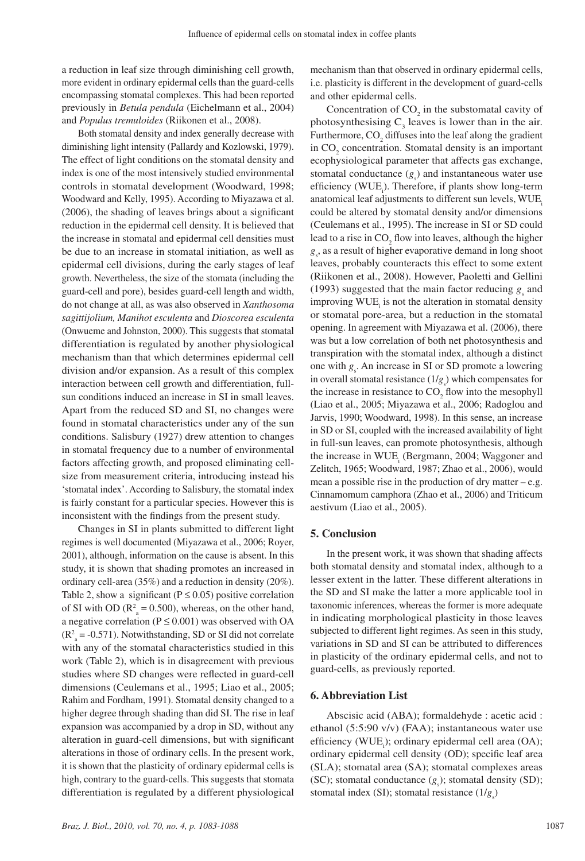a reduction in leaf size through diminishing cell growth, more evident in ordinary epidermal cells than the guard-cells encompassing stomatal complexes. This had been reported previously in *Betula pendula* (Eichelmann et al., 2004) and *Populus tremuloides* (Riikonen et al., 2008).

Both stomatal density and index generally decrease with diminishing light intensity (Pallardy and Kozlowski, 1979). The effect of light conditions on the stomatal density and index is one of the most intensively studied environmental controls in stomatal development (Woodward, 1998; Woodward and Kelly, 1995). According to Miyazawa et al. (2006), the shading of leaves brings about a significant reduction in the epidermal cell density. It is believed that the increase in stomatal and epidermal cell densities must be due to an increase in stomatal initiation, as well as epidermal cell divisions, during the early stages of leaf growth. Nevertheless, the size of the stomata (including the guard-cell and pore), besides guard-cell length and width, do not change at all, as was also observed in *Xanthosoma sagittijolium, Manihot esculenta* and *Dioscorea esculenta*  (Onwueme and Johnston, 2000). This suggests that stomatal differentiation is regulated by another physiological mechanism than that which determines epidermal cell division and/or expansion. As a result of this complex interaction between cell growth and differentiation, fullsun conditions induced an increase in SI in small leaves. Apart from the reduced SD and SI, no changes were found in stomatal characteristics under any of the sun conditions. Salisbury (1927) drew attention to changes in stomatal frequency due to a number of environmental factors affecting growth, and proposed eliminating cellsize from measurement criteria, introducing instead his 'stomatal index'. According to Salisbury, the stomatal index is fairly constant for a particular species. However this is inconsistent with the findings from the present study.

Changes in SI in plants submitted to different light regimes is well documented (Miyazawa et al., 2006; Royer, 2001), although, information on the cause is absent. In this study, it is shown that shading promotes an increased in ordinary cell-area (35%) and a reduction in density (20%). Table 2, show a significant ( $P \le 0.05$ ) positive correlation of SI with OD ( $\mathbb{R}^2$  = 0.500), whereas, on the other hand, a negative correlation ( $P \le 0.001$ ) was observed with OA  $(R<sup>2</sup><sub>a</sub> = -0.571)$ . Notwithstanding, SD or SI did not correlate with any of the stomatal characteristics studied in this work (Table 2), which is in disagreement with previous studies where SD changes were reflected in guard-cell dimensions (Ceulemans et al., 1995; Liao et al., 2005; Rahim and Fordham, 1991). Stomatal density changed to a higher degree through shading than did SI. The rise in leaf expansion was accompanied by a drop in SD, without any alteration in guard-cell dimensions, but with significant alterations in those of ordinary cells. In the present work, it is shown that the plasticity of ordinary epidermal cells is high, contrary to the guard-cells. This suggests that stomata differentiation is regulated by a different physiological

mechanism than that observed in ordinary epidermal cells, i.e. plasticity is different in the development of guard-cells and other epidermal cells.

Concentration of  $CO_2$  in the substomatal cavity of photosynthesising  $C_3$  leaves is lower than in the air. Furthermore,  $CO_2$  diffuses into the leaf along the gradient in  $CO<sub>2</sub>$  concentration. Stomatal density is an important ecophysiological parameter that affects gas exchange, stomatal conductance  $(g_s)$  and instantaneous water use efficiency (WUE<sub>i</sub>). Therefore, if plants show long-term anatomical leaf adjustments to different sun levels, WUE. could be altered by stomatal density and/or dimensions (Ceulemans et al., 1995). The increase in SI or SD could lead to a rise in  $CO_2$  flow into leaves, although the higher  $g<sub>s</sub>$ , as a result of higher evaporative demand in long shoot leaves, probably counteracts this effect to some extent (Riikonen et al., 2008). However, Paoletti and Gellini (1993) suggested that the main factor reducing  $g_s$  and improving WUE<sub>i</sub> is not the alteration in stomatal density or stomatal pore-area, but a reduction in the stomatal opening. In agreement with Miyazawa et al. (2006), there was but a low correlation of both net photosynthesis and transpiration with the stomatal index, although a distinct one with  $g_s$ . An increase in SI or SD promote a lowering in overall stomatal resistance  $(1/g_s)$  which compensates for the increase in resistance to  $CO<sub>2</sub>$  flow into the mesophyll (Liao et al., 2005; Miyazawa et al., 2006; Radoglou and Jarvis, 1990; Woodward, 1998). In this sense, an increase in SD or SI, coupled with the increased availability of light in full-sun leaves, can promote photosynthesis, although the increase in WUE<sub>i</sub> (Bergmann, 2004; Waggoner and Zelitch, 1965; Woodward, 1987; Zhao et al., 2006), would mean a possible rise in the production of dry matter – e.g. Cinnamomum camphora (Zhao et al., 2006) and Triticum aestivum (Liao et al., 2005).

#### **5. Conclusion**

In the present work, it was shown that shading affects both stomatal density and stomatal index, although to a lesser extent in the latter. These different alterations in the SD and SI make the latter a more applicable tool in taxonomic inferences, whereas the former is more adequate in indicating morphological plasticity in those leaves subjected to different light regimes. As seen in this study, variations in SD and SI can be attributed to differences in plasticity of the ordinary epidermal cells, and not to guard-cells, as previously reported.

## **6. Abbreviation List**

Abscisic acid (ABA); formaldehyde : acetic acid : ethanol (5:5:90 v/v) (FAA); instantaneous water use efficiency (WUE<sub>i</sub>); ordinary epidermal cell area (OA); ordinary epidermal cell density (OD); specific leaf area (SLA); stomatal area (SA); stomatal complexes areas (SC); stomatal conductance  $(g_s)$ ; stomatal density (SD); stomatal index (SI); stomatal resistance  $(1/g_s)$